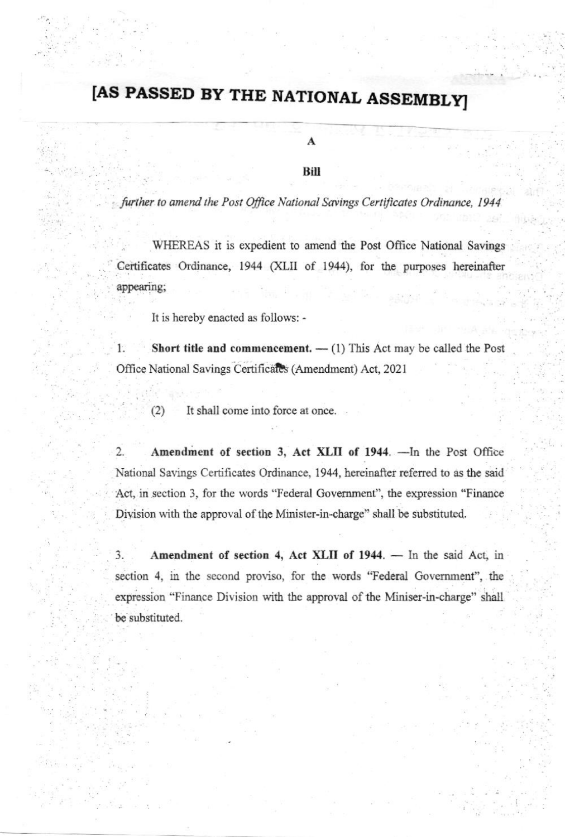## [AS PASSED BY THE NATIONAL ASSEMBLY]

A

Bill

further to amend the Post Office National Savings Certificates Ordinance, 1944

WHEREAS it is expedient to amend the Post Office National Savings Certificates Ordinance, 1944 (XLII of 1944), for the purposes hereinafter appearing;

It is hereby enacted as follows: -

 $1.$ Short title and commencement.  $-$  (1) This Act may be called the Post Office National Savings Certificates (Amendment) Act, 2021

It shall come into force at once.  $(2)$ 

Amendment of section 3, Act XLII of 1944. - In the Post Office  $2.$ National Savings Certificates Ordinance, 1944, hereinafter referred to as the said Act, in section 3, for the words "Federal Government", the expression "Finance Division with the approval of the Minister-in-charge" shall be substituted.

 $3.$ Amendment of section 4, Act XLII of 1944. - In the said Act, in section 4, in the second proviso, for the words "Federal Government", the expression "Finance Division with the approval of the Miniser-in-charge" shall be substituted.